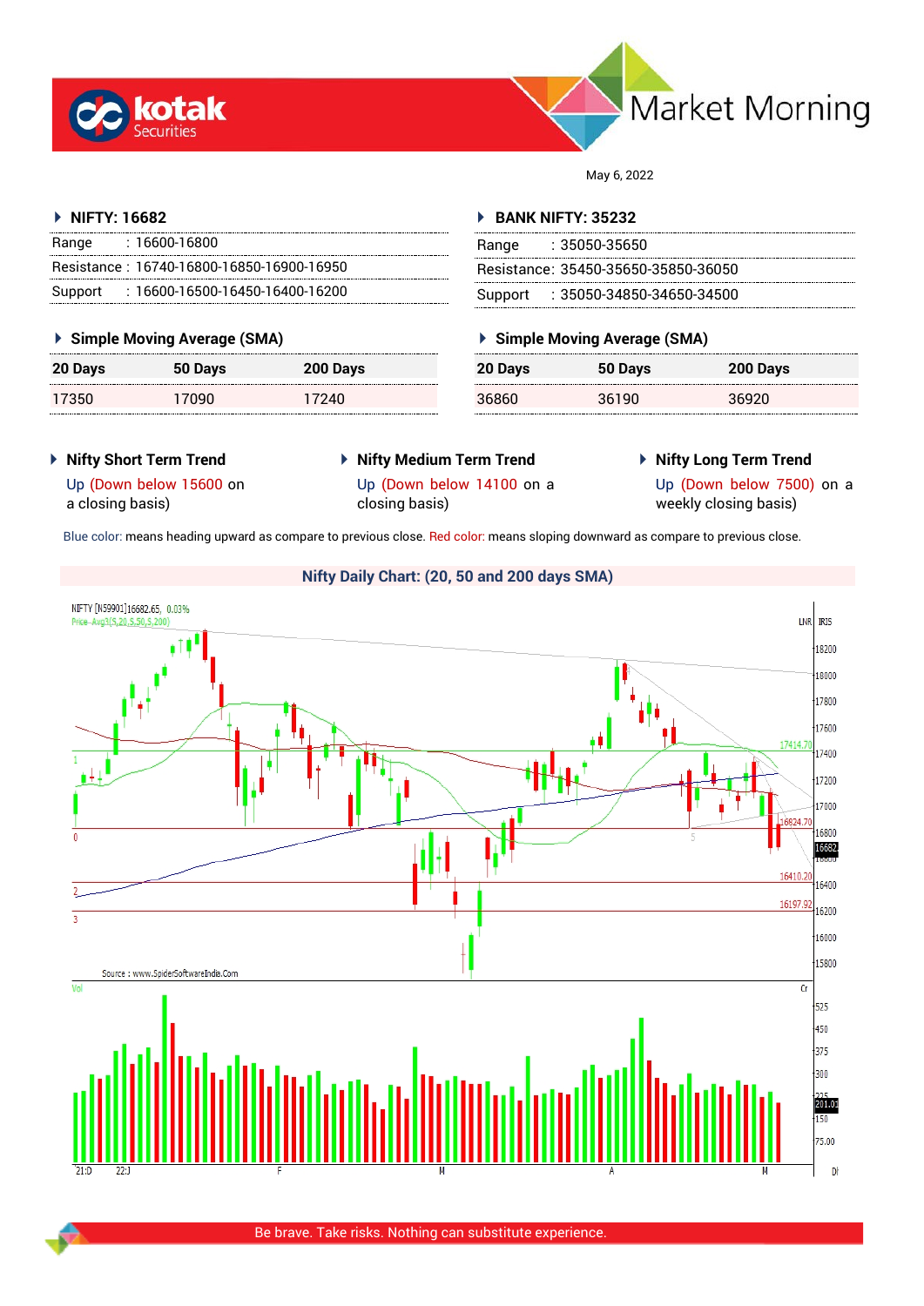



May 6, 2022

## **NIFTY: 16682**

| Range | : 16600-16800                             |
|-------|-------------------------------------------|
|       | Resistance: 16740-16800-16850-16900-16950 |
|       | Support: 16600-16500-16450-16400-16200    |

## **Simple Moving Average (SMA)**

| <b>20 Days</b> | 50 Days | 200 Days |
|----------------|---------|----------|
| 17350          | 17090   | 17240    |

#### **BANK NIFTY: 35232**

| Range | :35050-35650                        |
|-------|-------------------------------------|
|       | Resistance: 35450-35650-35850-36050 |
|       | Support : 35050-34850-34650-34500   |

# **Simple Moving Average (SMA)**

| 20 Days | 50 Days | 200 Days |
|---------|---------|----------|
| 36860   | 36190   | 36920    |

## **Nifty Short Term Trend**

- **Nifty Medium Term Trend**
- **Nifty Long Term Trend**

a closing basis)

Up (Down below 14100 on a

Up (Down below 15600 on

closing basis)

Up (Down below 7500) on a weekly closing basis)

Blue color: means heading upward as compare to previous close. Red color: means sloping downward as compare to previous close.



#### Be brave. Take risks. Nothing can substitute experience.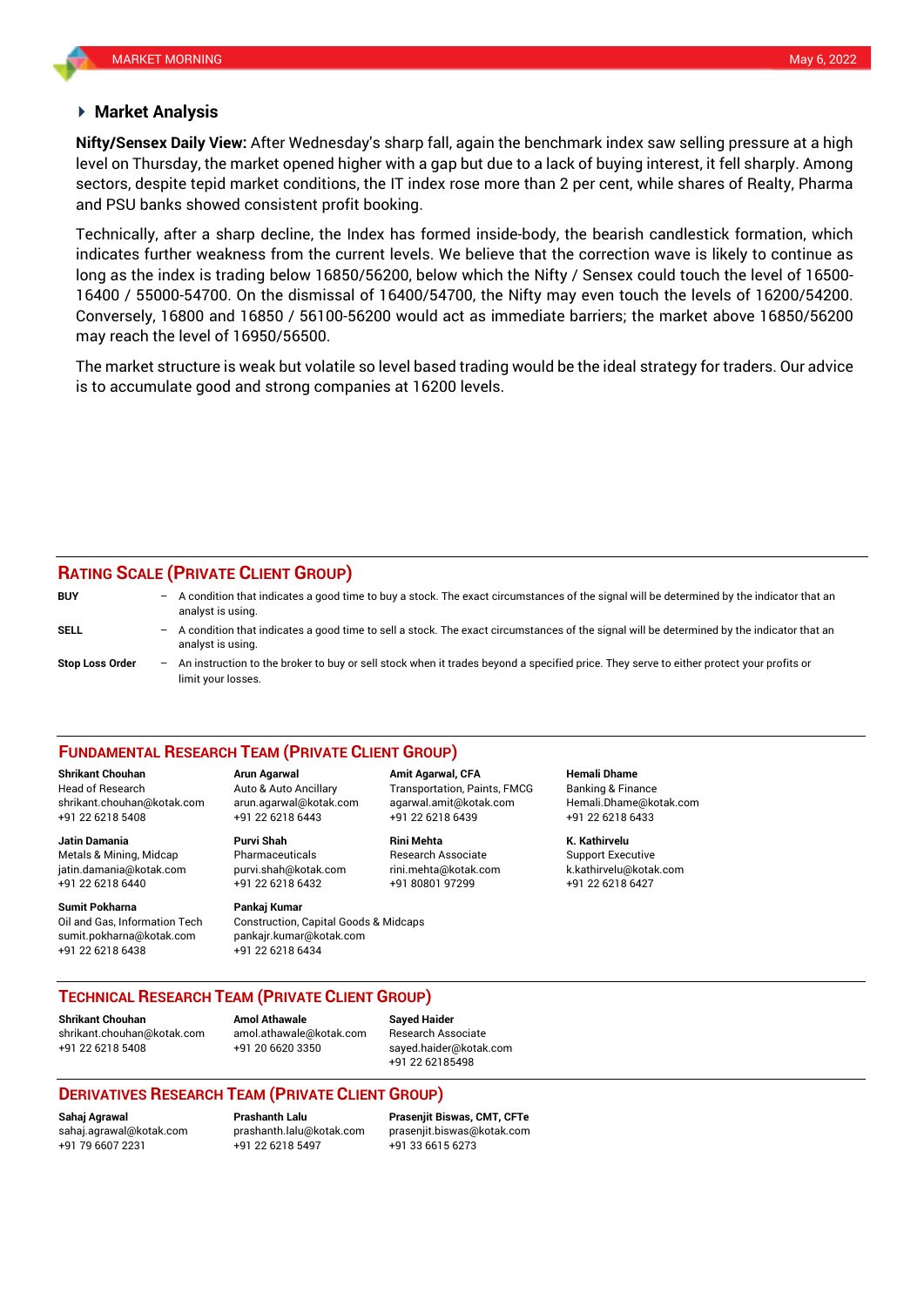#### **Market Analysis**

level on Thursday, the market opened higher with a gap but due to a lack of buying interest, it fell sharply. Among and PSU banks showed consistent profit booking. **Nifty/Sensex Daily View:** After Wednesday's sharp fall, again the benchmark index saw selling pressure at a high sectors, despite tepid market conditions, the IT index rose more than 2 per cent, while shares of Realty, Pharma

Technically, after a sharp decline, the Index has formed inside-body, the bearish candlestick formation, which indicates further weakness from the current levels. We believe that the correction wave is likely to continue as long as the index is trading below 16850/56200, below which the Nifty / Sensex could touch the level of 16500- 16400 / 55000-54700. On the dismissal of 16400/54700, the Nifty may even touch the levels of 16200/54200. Conversely, 16800 and 16850 / 56100-56200 would act as immediate barriers; the market above 16850/56200 may reach the level of 16950/56500.

The market structure is weak but volatile so level based trading would be the ideal strategy for traders. Our advice is to accumulate good and strong companies at 16200 levels.

#### **RATING SCALE (PRIVATE CLIENT GROUP)**

**BUY** – A condition that indicates a good time to buy a stock. The exact circumstances of the signal will be determined by the indicator that an analyst is using. **SELL** – A condition that indicates a good time to sell a stock. The exact circumstances of the signal will be determined by the indicator that an analyst is using. **Stop Loss Order** – An instruction to the broker to buy or sell stock when it trades beyond a specified price. They serve to either protect your profits or limit your losses.

#### **FUNDAMENTAL RESEARCH TEAM (PRIVATE CLIENT GROUP)**

Head of Research Auto & Auto Ancillary Transportation, Paints, FMCG Banking & Finance [shrikant.chouhan@kotak.com](mailto:shrikant.chouhan@kotak.com) arun.agarwal@kotak.com agarwal.amit@kotak.com Hemali.Dhame@kotak.com

**Jatin Damania Purvi Shah Rini Mehta K. Kathirvelu** Metals & Mining, Midcap Pharmaceuticals Research Associate Support Executive jatin.damania@kotak.com [purvi.shah@kotak.com](mailto:purvi.shah@kotak.com) rini.mehta@kotak.com [k.kathirvelu@kotak.com](mailto:k.kathirvelu@kotak.com) +91 22 6218 6440 +91 22 6218 6432 +91 80801 97299 +91 22 6218 6427

**Sumit Pokharna** Pankaj Kumar Oil and Gas, Information Tech Construction, Capital Goods & Midcaps sumit.pokharna@kotak.com pankajr.kumar@kotak.com

+91 22 6218 5408 +91 22 6218 6443 +91 22 6218 6439 +91 22 6218 6433

+91 22 6218 6438 +91 22 6218 6434

**Shrikant Chouhan Arun Agarwal Amit Agarwal, CFA Hemali Dhame**

## **TECHNICAL RESEARCH TEAM (PRIVATE CLIENT GROUP)**

**Shrikant Chouhan Amol Athawale Sayed Haider**

[shrikant.chouhan@kotak.com](mailto:shrikant.chouhan@kotak.com) [amol.athawale@kotak.com](mailto:amol.athawale@kotak.com) Research Associate +91 22 6218 5408 +91 20 6620 3350 [sayed.haider@kotak.com](mailto:sayed.haider@kotak.com)

+91 22 62185498

## **DERIVATIVES RESEARCH TEAM (PRIVATE CLIENT GROUP)**

+91 22 6218 5497 +91 33 6615 6273

**Sahaj Agrawal Prashanth Lalu Prasenjit Biswas, CMT, CFTe** [sahaj.agrawal@kotak.com](mailto:sahaj.agrawal@kotak.com) [prashanth.lalu@kotak.com](mailto:prashanth.lalu@kotak.com) [prasenjit.biswas@kotak.com](mailto:prasenjit.biswas@kotak.com)